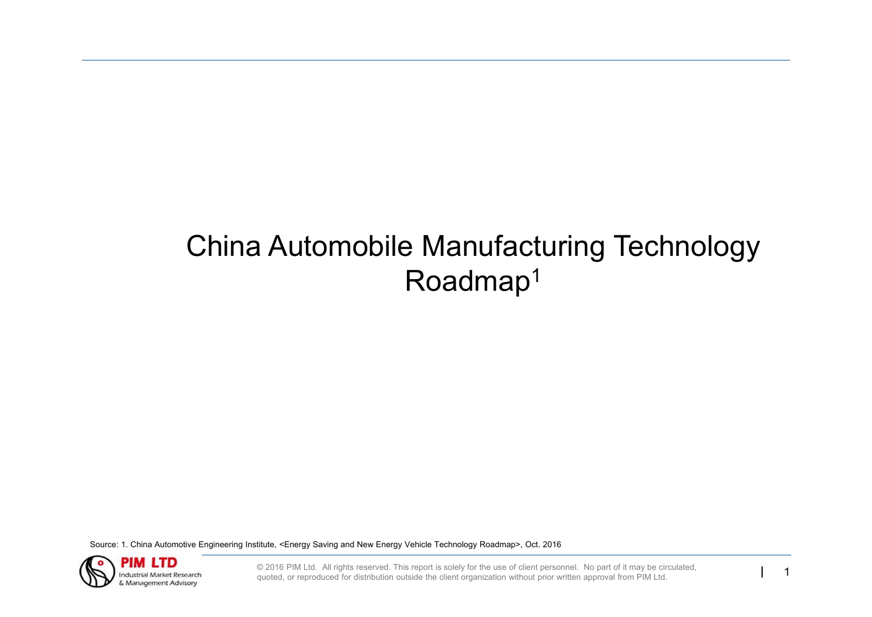# China Automobile Manufacturing Technology Roadmap1

Source: 1. China Automotive Engineering Institute, <Energy Saving and New Energy Vehicle Technology Roadmap>, Oct. 2016



© 2016 PIM Ltd. All rights reserved. This report is solely for the use of client personnel. No part of it may be circulated, quoted, or reproduced for distribution outside the client organization without prior written appr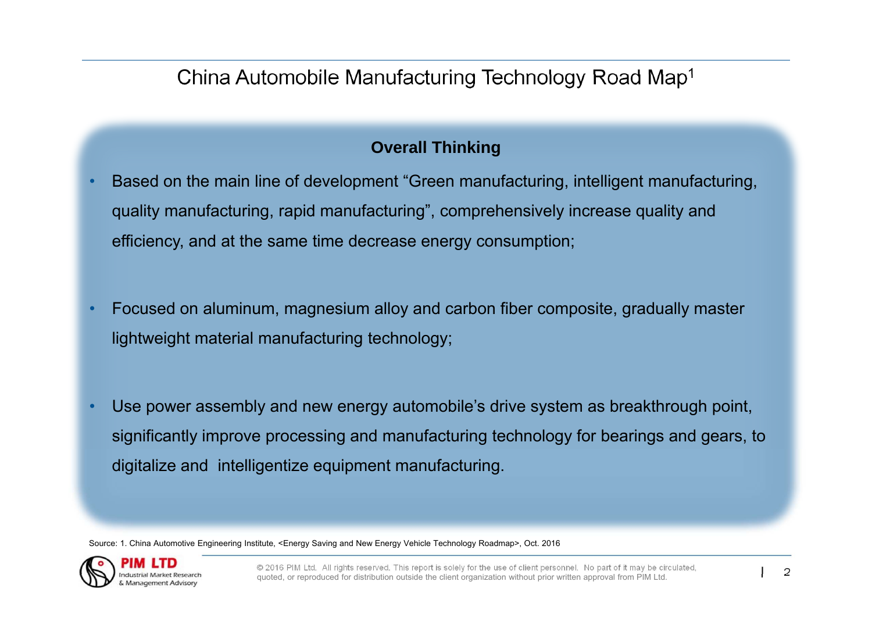### China Automobile Manufacturing Technology Road Map1

#### **Overall Thinking**

- • Based on the main line of development "Green manufacturing, intelligent manufacturing, quality manufacturing, rapid manufacturing", comprehensively increase quality and efficiency, and at the same time decrease energy consumption;
- • Focused on aluminum, magnesium alloy and carbon fiber composite, gradually master lightweight material manufacturing technology;
- • Use power assembly and new energy automobile's drive system as breakthrough point, significantly improve processing and manufacturing technology for bearings and gears, to digitalize and intelligentize equipment manufacturing.

Source: 1. China Automotive Engineering Institute, <Energy Saving and New Energy Vehicle Technology Roadmap>, Oct. 2016

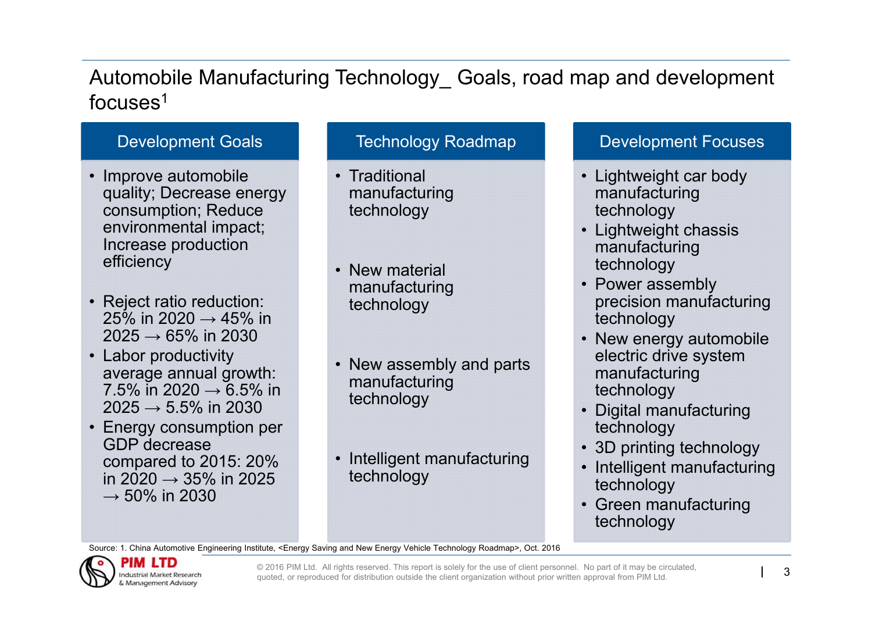## Automobile Manufacturing Technology\_ Goals, road map and development focuses<sup>1</sup>

#### Development Goals

- Improve automobile quality; Decrease energy consumption; Reduce environmental impact; Increase production efficiency
- Reject ratio reduction: 25% in 2020  $\rightarrow$  45% in 2025  $\rightarrow$  65% in 2030
- Labor productivity average annual growth: 7.5% in 2020  $\rightarrow$  6.5% in 2025  $\rightarrow$  5.5% in 2030
- Energy consumption per GDP decrease compared to 2015: 20% in 2020  $\rightarrow$  35% in 2025  $\rightarrow$  50% in 2030

#### Technology Roadmap

• Traditional manufacturing technology

• New material manufacturing technology

- New assembly and parts manufacturing technology
- Intelligent manufacturing technology

#### Development Focuses

- Lightweight car body manufacturing technology
- Lightweight chassis manufacturing technology
- Power assembly precision manufacturing technology
- New energy automobile electric drive system manufacturing technology
- Digital manufacturing technology
- 3D printing technology
- Intelligent manufacturing technology
- Green manufacturing technology

Source: 1. China Automotive Engineering Institute, <Energy Saving and New Energy Vehicle Technology Roadmap>, Oct. 2016

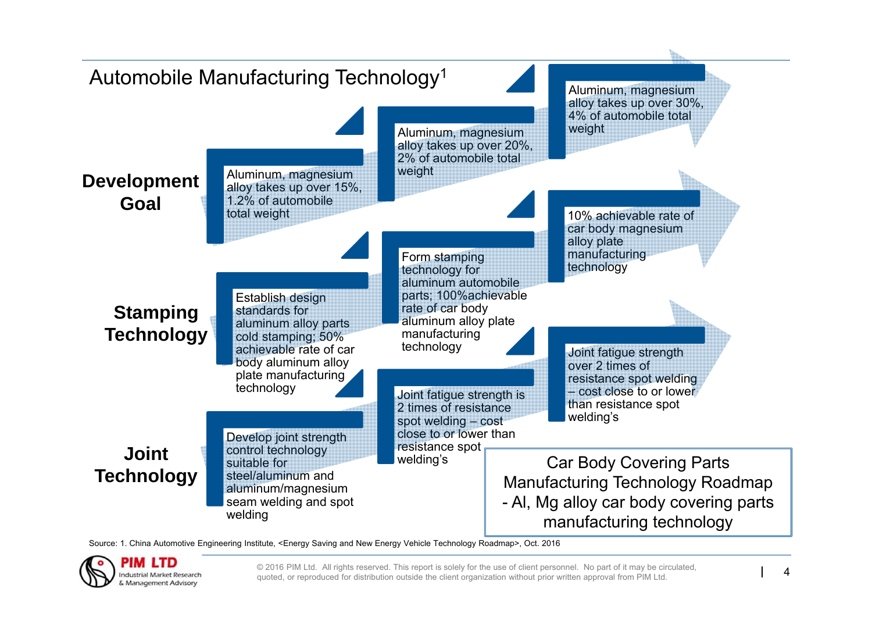

Source: 1. China Automotive Engineering Institute, <Energy Saving and New Energy Vehicle Technology Roadmap>, Oct. 2016



© 2016 PIM Ltd. All rights reserved. This report is solely for the use of client personnel. No part of it may be circulated, auoted. or reproduced for distribution outside the client organization without prior written appr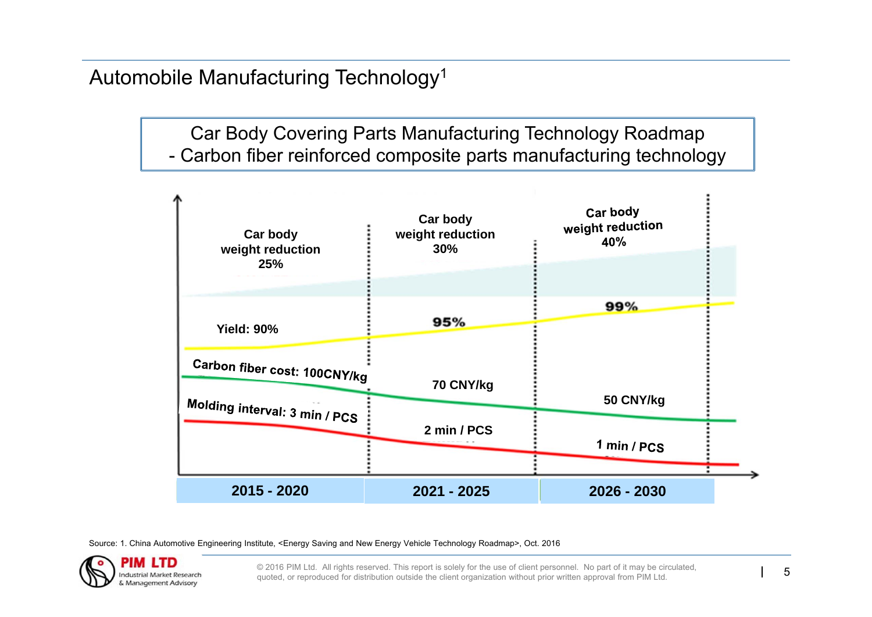Automobile Manufacturing Technology1

Car Body Covering Parts Manufacturing Technology Roadmap - Carbon fiber reinforced composite parts manufacturing technology



Source: 1. China Automotive Engineering Institute, <Energy Saving and New Energy Vehicle Technology Roadmap>, Oct. 2016



© 2016 PIM Ltd. All rights reserved. This report is solely for the use of client personnel. No part of it may be circulated, quoted, or reproduced for distribution outside the client organization without prior written appr